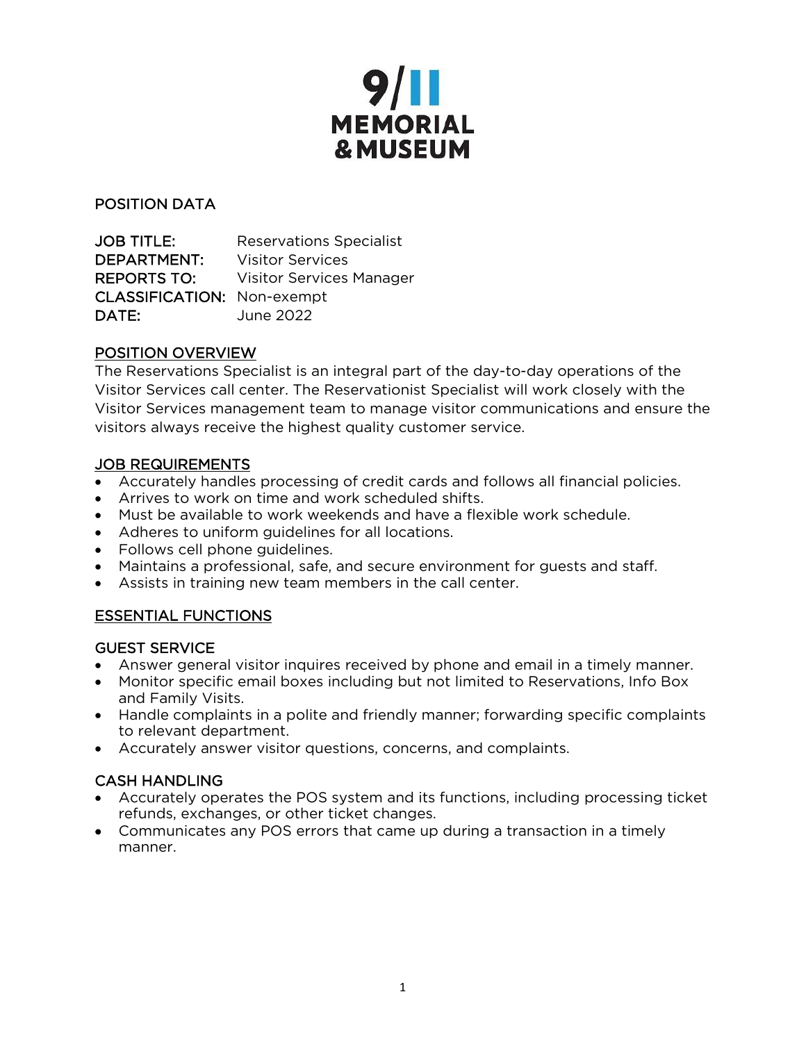

## POSITION DATA

JOB TITLE: Reservations Specialist DEPARTMENT: Visitor Services REPORTS TO: Visitor Services Manager CLASSIFICATION: Non-exempt DATE: June 2022

## POSITION OVERVIEW

The Reservations Specialist is an integral part of the day-to-day operations of the Visitor Services call center. The Reservationist Specialist will work closely with the Visitor Services management team to manage visitor communications and ensure the visitors always receive the highest quality customer service.

## JOB REQUIREMENTS

- Accurately handles processing of credit cards and follows all financial policies.
- Arrives to work on time and work scheduled shifts.
- Must be available to work weekends and have a flexible work schedule.
- Adheres to uniform guidelines for all locations.
- Follows cell phone guidelines.
- Maintains a professional, safe, and secure environment for guests and staff.
- Assists in training new team members in the call center.

# ESSENTIAL FUNCTIONS

#### GUEST SERVICE

- Answer general visitor inquires received by phone and email in a timely manner.
- Monitor specific email boxes including but not limited to Reservations, Info Box and Family Visits.
- Handle complaints in a polite and friendly manner; forwarding specific complaints to relevant department.
- Accurately answer visitor questions, concerns, and complaints.

# CASH HANDLING

- Accurately operates the POS system and its functions, including processing ticket refunds, exchanges, or other ticket changes.
- Communicates any POS errors that came up during a transaction in a timely manner.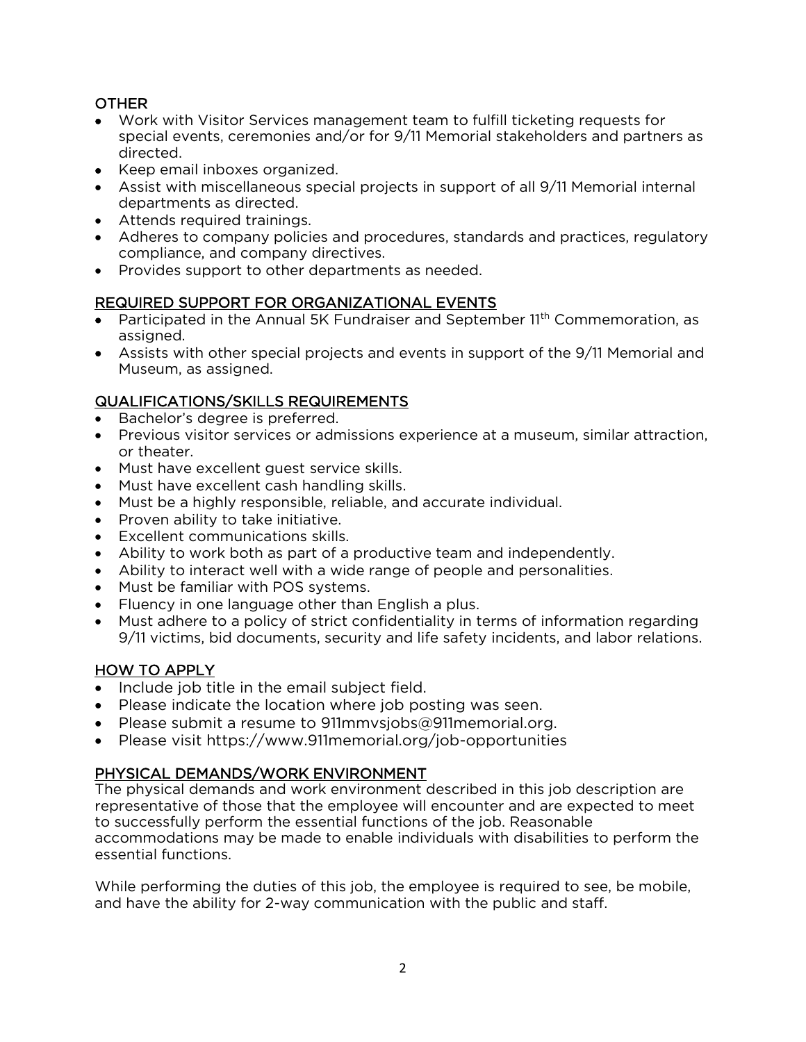## **OTHER**

- Work with Visitor Services management team to fulfill ticketing requests for special events, ceremonies and/or for 9/11 Memorial stakeholders and partners as directed.
- Keep email inboxes organized.
- Assist with miscellaneous special projects in support of all 9/11 Memorial internal departments as directed.
- Attends required trainings.
- Adheres to company policies and procedures, standards and practices, regulatory compliance, and company directives.
- Provides support to other departments as needed.

## REQUIRED SUPPORT FOR ORGANIZATIONAL EVENTS

- Participated in the Annual 5K Fundraiser and September 11<sup>th</sup> Commemoration, as assigned.
- Assists with other special projects and events in support of the 9/11 Memorial and Museum, as assigned.

## QUALIFICATIONS/SKILLS REQUIREMENTS

- Bachelor's degree is preferred.
- Previous visitor services or admissions experience at a museum, similar attraction, or theater.
- Must have excellent guest service skills.
- Must have excellent cash handling skills.
- Must be a highly responsible, reliable, and accurate individual.
- Proven ability to take initiative.
- Excellent communications skills.
- Ability to work both as part of a productive team and independently.
- Ability to interact well with a wide range of people and personalities.
- Must be familiar with POS systems.
- Fluency in one language other than English a plus.
- Must adhere to a policy of strict confidentiality in terms of information regarding 9/11 victims, bid documents, security and life safety incidents, and labor relations.

## HOW TO APPLY

- Include job title in the email subject field.
- Please indicate the location where job posting was seen.
- Please submit a resume to 911mmvsjobs@911memorial.org.
- Please visit https://www.911memorial.org/job-opportunities

## PHYSICAL DEMANDS/WORK ENVIRONMENT

The physical demands and work environment described in this job description are representative of those that the employee will encounter and are expected to meet to successfully perform the essential functions of the job. Reasonable accommodations may be made to enable individuals with disabilities to perform the essential functions.

While performing the duties of this job, the employee is required to see, be mobile, and have the ability for 2-way communication with the public and staff.